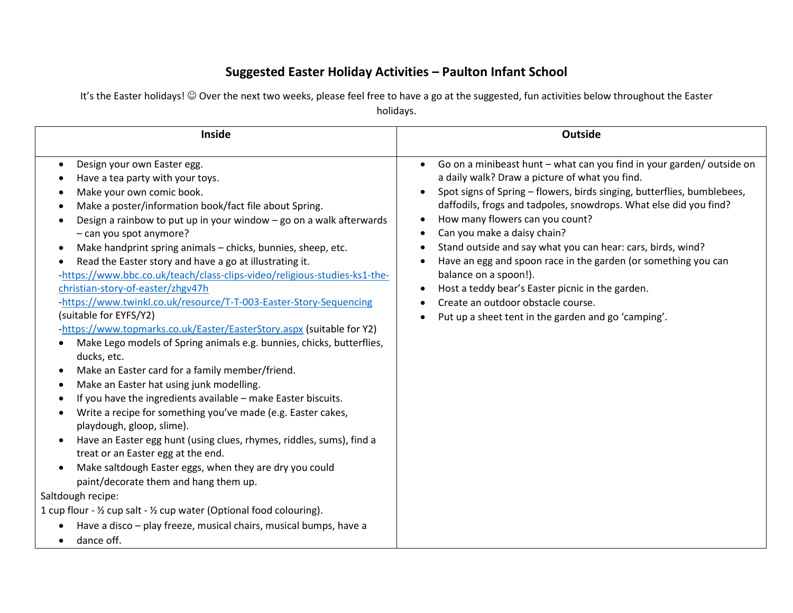## **Suggested Easter Holiday Activities – Paulton Infant School**

It's the Easter holidays! © Over the next two weeks, please feel free to have a go at the suggested, fun activities below throughout the Easter holidays.

| <b>Inside</b>                                                                                                                                                                                                                                                                                                                                                                                                                                                                                                                                                                                                                                                                                                                                                                                                                                                                                                                                                                                                                                                                                                                                                                                                                                                                                                                                                                                                                                                                                                             | <b>Outside</b>                                                                                                                                                                                                                                                                                                                                                                                                                                                                                                                                                                                                                                                                |
|---------------------------------------------------------------------------------------------------------------------------------------------------------------------------------------------------------------------------------------------------------------------------------------------------------------------------------------------------------------------------------------------------------------------------------------------------------------------------------------------------------------------------------------------------------------------------------------------------------------------------------------------------------------------------------------------------------------------------------------------------------------------------------------------------------------------------------------------------------------------------------------------------------------------------------------------------------------------------------------------------------------------------------------------------------------------------------------------------------------------------------------------------------------------------------------------------------------------------------------------------------------------------------------------------------------------------------------------------------------------------------------------------------------------------------------------------------------------------------------------------------------------------|-------------------------------------------------------------------------------------------------------------------------------------------------------------------------------------------------------------------------------------------------------------------------------------------------------------------------------------------------------------------------------------------------------------------------------------------------------------------------------------------------------------------------------------------------------------------------------------------------------------------------------------------------------------------------------|
| Design your own Easter egg.<br>$\bullet$<br>Have a tea party with your toys.<br>Make your own comic book.<br>٠<br>Make a poster/information book/fact file about Spring.<br>Design a rainbow to put up in your window - go on a walk afterwards<br>- can you spot anymore?<br>Make handprint spring animals - chicks, bunnies, sheep, etc.<br>Read the Easter story and have a go at illustrating it.<br>-https://www.bbc.co.uk/teach/class-clips-video/religious-studies-ks1-the-<br>christian-story-of-easter/zhgv47h<br>-https://www.twinkl.co.uk/resource/T-T-003-Easter-Story-Sequencing<br>(suitable for EYFS/Y2)<br>-https://www.topmarks.co.uk/Easter/EasterStory.aspx (suitable for Y2)<br>Make Lego models of Spring animals e.g. bunnies, chicks, butterflies,<br>ducks, etc.<br>Make an Easter card for a family member/friend.<br>$\bullet$<br>Make an Easter hat using junk modelling.<br>$\bullet$<br>If you have the ingredients available - make Easter biscuits.<br>Write a recipe for something you've made (e.g. Easter cakes,<br>playdough, gloop, slime).<br>Have an Easter egg hunt (using clues, rhymes, riddles, sums), find a<br>$\bullet$<br>treat or an Easter egg at the end.<br>Make saltdough Easter eggs, when they are dry you could<br>$\bullet$<br>paint/decorate them and hang them up.<br>Saltdough recipe:<br>1 cup flour - 1/2 cup salt - 1/2 cup water (Optional food colouring).<br>Have a disco - play freeze, musical chairs, musical bumps, have a<br>dance off.<br>$\bullet$ | Go on a minibeast hunt - what can you find in your garden/outside on<br>$\bullet$<br>a daily walk? Draw a picture of what you find.<br>Spot signs of Spring - flowers, birds singing, butterflies, bumblebees,<br>daffodils, frogs and tadpoles, snowdrops. What else did you find?<br>How many flowers can you count?<br>Can you make a daisy chain?<br>Stand outside and say what you can hear: cars, birds, wind?<br>Have an egg and spoon race in the garden (or something you can<br>balance on a spoon!).<br>Host a teddy bear's Easter picnic in the garden.<br>$\bullet$<br>Create an outdoor obstacle course.<br>Put up a sheet tent in the garden and go 'camping'. |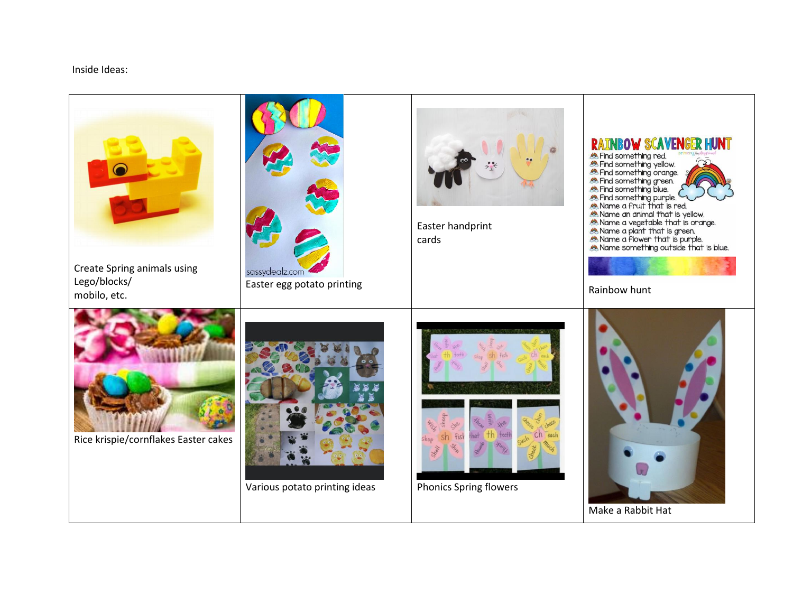Inside Ideas:

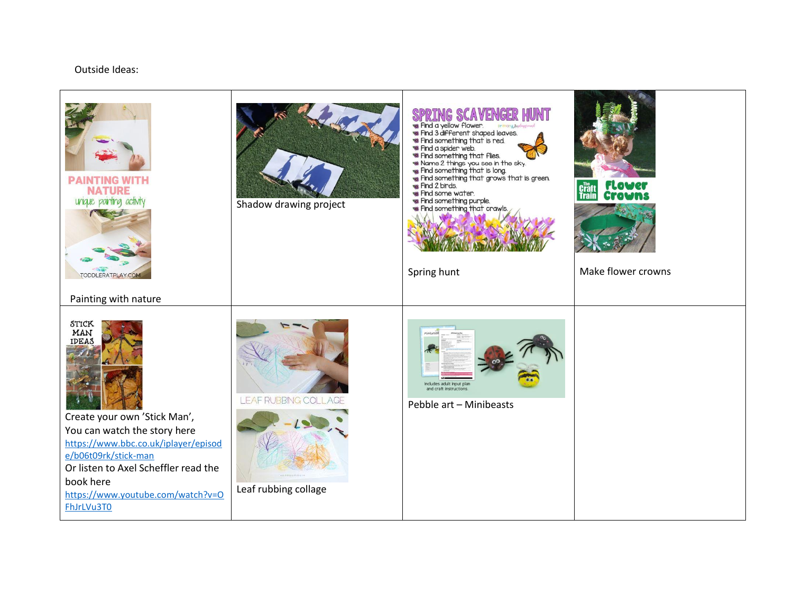## Outside Ideas: